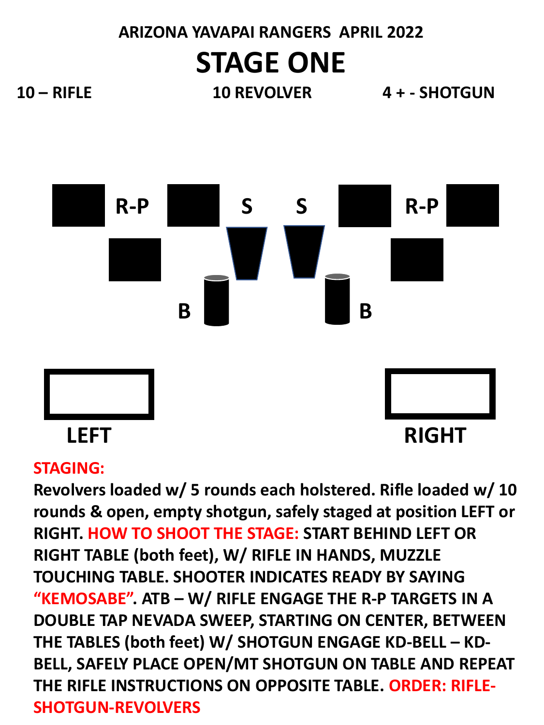# **ARIZONA YAVAPAI RANGERS APRIL 2022 STAGE ONE**

**10 – RIFLE 10 REVOLVER 4 + - SHOTGUN**



### **STAGING:**

**Revolvers loaded w/ 5 rounds each holstered. Rifle loaded w/ 10 rounds & open, empty shotgun, safely staged at position LEFT or RIGHT. HOW TO SHOOT THE STAGE: START BEHIND LEFT OR RIGHT TABLE (both feet), W/ RIFLE IN HANDS, MUZZLE TOUCHING TABLE. SHOOTER INDICATES READY BY SAYING "KEMOSABE". ATB – W/ RIFLE ENGAGE THE R-P TARGETS IN A DOUBLE TAP NEVADA SWEEP, STARTING ON CENTER, BETWEEN THE TABLES (both feet) W/ SHOTGUN ENGAGE KD-BELL – KD-BELL, SAFELY PLACE OPEN/MT SHOTGUN ON TABLE AND REPEAT THE RIFLE INSTRUCTIONS ON OPPOSITE TABLE. ORDER: RIFLE-SHOTGUN-REVOLVERS**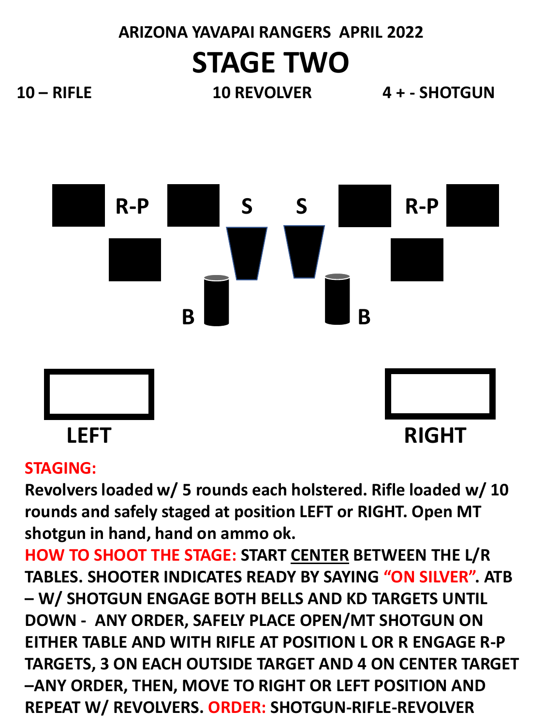# **ARIZONA YAVAPAI RANGERS APRIL 2022 STAGE TWO**

**10 – RIFLE 10 REVOLVER 4 + - SHOTGUN**



### **STAGING:**

**Revolvers loaded w/ 5 rounds each holstered. Rifle loaded w/ 10 rounds and safely staged at position LEFT or RIGHT. Open MT shotgun in hand, hand on ammo ok.**

**HOW TO SHOOT THE STAGE: START CENTER BETWEEN THE L/R TABLES. SHOOTER INDICATES READY BY SAYING "ON SILVER". ATB – W/ SHOTGUN ENGAGE BOTH BELLS AND KD TARGETS UNTIL DOWN - ANY ORDER, SAFELY PLACE OPEN/MT SHOTGUN ON EITHER TABLE AND WITH RIFLE AT POSITION L OR R ENGAGE R-P TARGETS, 3 ON EACH OUTSIDE TARGET AND 4 ON CENTER TARGET –ANY ORDER, THEN, MOVE TO RIGHT OR LEFT POSITION AND REPEAT W/ REVOLVERS. ORDER: SHOTGUN-RIFLE-REVOLVER**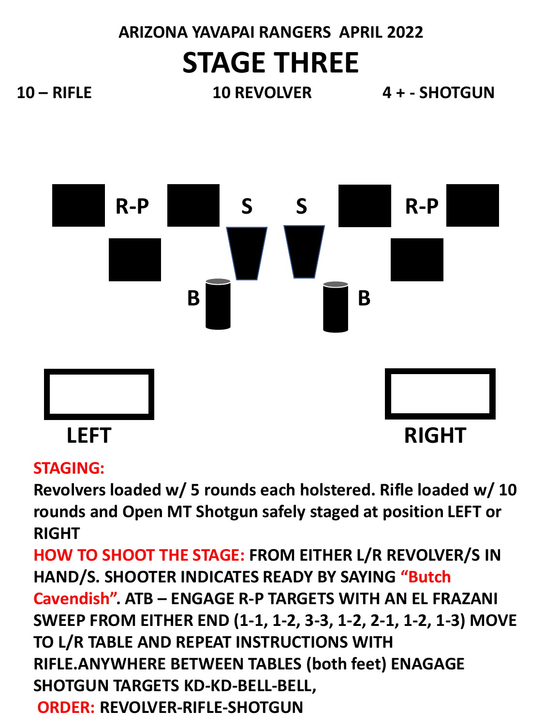# **ARIZONA YAVAPAI RANGERS APRIL 2022 STAGE THREE**

**10 – RIFLE 10 REVOLVER 4 + - SHOTGUN**



### **STAGING:**

**Revolvers loaded w/ 5 rounds each holstered. Rifle loaded w/ 10 rounds and Open MT Shotgun safely staged at position LEFT or RIGHT**

**HOW TO SHOOT THE STAGE: FROM EITHER L/R REVOLVER/S IN HAND/S. SHOOTER INDICATES READY BY SAYING "Butch Cavendish". ATB – ENGAGE R-P TARGETS WITH AN EL FRAZANI SWEEP FROM EITHER END (1-1, 1-2, 3-3, 1-2, 2-1, 1-2, 1-3) MOVE TO L/R TABLE AND REPEAT INSTRUCTIONS WITH RIFLE.ANYWHERE BETWEEN TABLES (both feet) ENAGAGE SHOTGUN TARGETS KD-KD-BELL-BELL, ORDER: REVOLVER-RIFLE-SHOTGUN**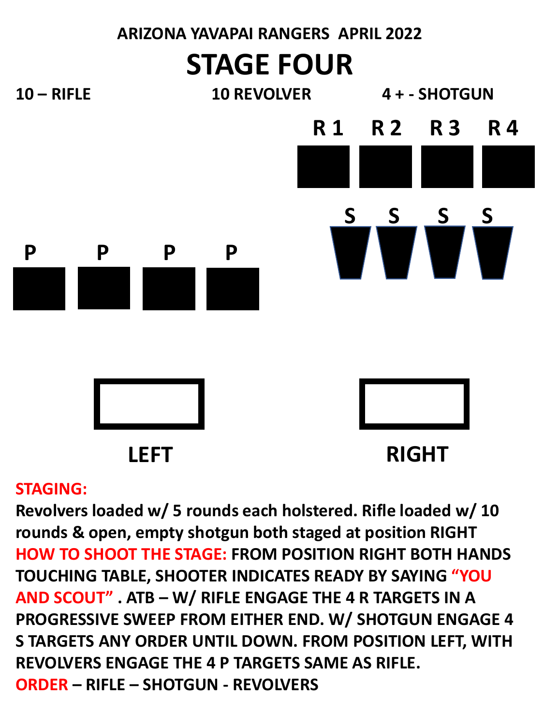

### **STAGING:**

**Revolvers loaded w/ 5 rounds each holstered. Rifle loaded w/ 10 rounds & open, empty shotgun both staged at position RIGHT HOW TO SHOOT THE STAGE: FROM POSITION RIGHT BOTH HANDS TOUCHING TABLE, SHOOTER INDICATES READY BY SAYING "YOU AND SCOUT" . ATB – W/ RIFLE ENGAGE THE 4 R TARGETS IN A PROGRESSIVE SWEEP FROM EITHER END. W/ SHOTGUN ENGAGE 4 S TARGETS ANY ORDER UNTIL DOWN. FROM POSITION LEFT, WITH REVOLVERS ENGAGE THE 4 P TARGETS SAME AS RIFLE. ORDER – RIFLE – SHOTGUN - REVOLVERS**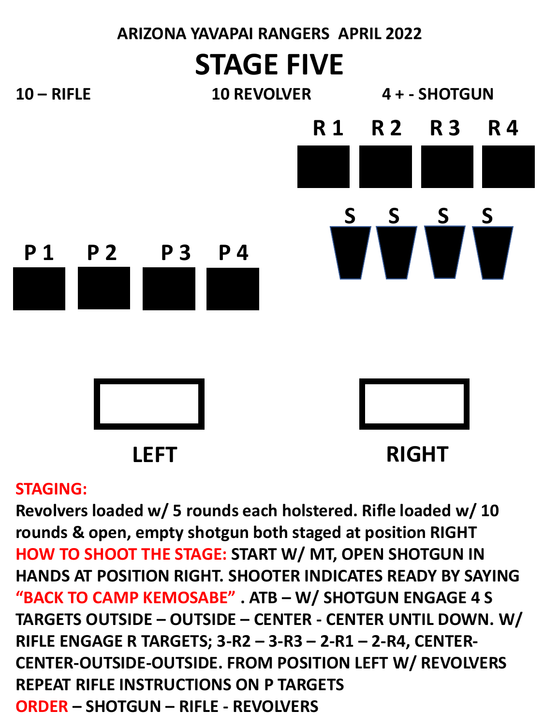

#### **STAGING:**

**Revolvers loaded w/ 5 rounds each holstered. Rifle loaded w/ 10 rounds & open, empty shotgun both staged at position RIGHT HOW TO SHOOT THE STAGE: START W/ MT, OPEN SHOTGUN IN HANDS AT POSITION RIGHT. SHOOTER INDICATES READY BY SAYING "BACK TO CAMP KEMOSABE" . ATB – W/ SHOTGUN ENGAGE 4 S TARGETS OUTSIDE – OUTSIDE – CENTER - CENTER UNTIL DOWN. W/ RIFLE ENGAGE R TARGETS; 3-R2 – 3-R3 – 2-R1 – 2-R4, CENTER-CENTER-OUTSIDE-OUTSIDE. FROM POSITION LEFT W/ REVOLVERS REPEAT RIFLE INSTRUCTIONS ON P TARGETS ORDER – SHOTGUN – RIFLE - REVOLVERS**